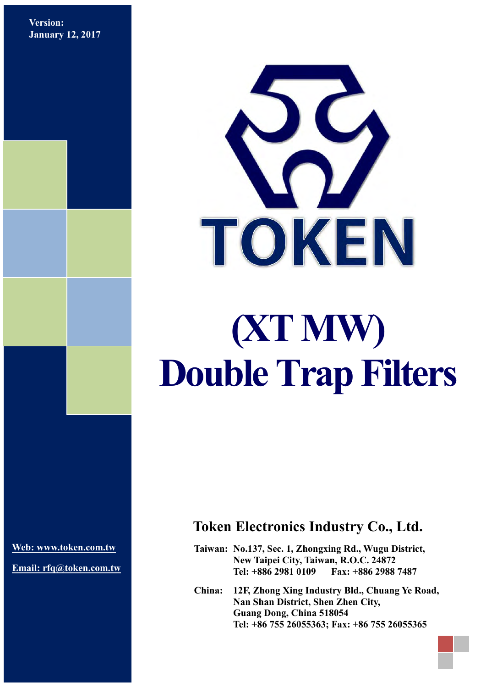**Version: January 12, 2017**



**[Web: www.token.com.tw](http://www.token.com.tw/)**

**Email: rfq@token.com.tw**

### **Token Electronics Industry Co., Ltd.**

**Taiwan: No.137, Sec. 1, Zhongxing Rd., Wugu District, New Taipei City, Taiwan, R.O.C. 24872 Tel: +886 2981 0109 Fax: +886 2988 7487**

**China: 12F, Zhong Xing Industry Bld., Chuang Ye Road, Nan Shan District, Shen Zhen City, Guang Dong, China 518054 Tel: +86 755 26055363; Fax: +86 755 26055365**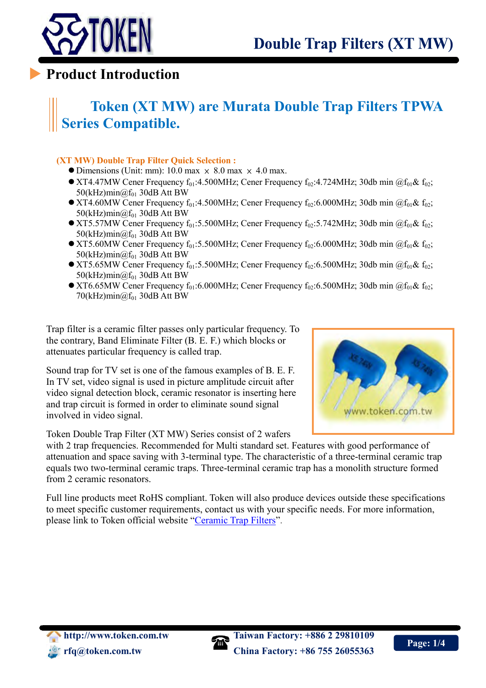

 $\overline{a}$ 

### **Product Introduction**

# **Token (XT MW) are Murata Double Trap Filters TPWA Series Compatible.**

#### **(XT MW) Double Trap Filter Quick Selection :**

- $\bullet$  Dimensions (Unit: mm): 10.0 max  $\times$  8.0 max  $\times$  4.0 max.
- XT4.47MW Cener Frequency  $f_{01}:4.500$ MHz; Cener Frequency  $f_{02}:4.724$ MHz; 30db min  $@f_{01}$ &  $f_{02}:$  $50$ (kHz)min $@f_{01}$  30dB Att BW
- $\bullet$  XT4.60MW Cener Frequency f<sub>01</sub>:4.500MHz; Cener Frequency f<sub>02</sub>:6.000MHz; 30db min @f<sub>01</sub>& f<sub>02</sub>; 50(kHz)min $@f_{01}$  30dB Att BW
- $\bullet$  XT5.57MW Cener Frequency f<sub>01</sub>:5.500MHz; Cener Frequency f<sub>02</sub>:5.742MHz; 30db min @f<sub>01</sub>& f<sub>02</sub>; 50(kHz)min $@f_{01}$  30dB Att BW
- XT5.60MW Cener Frequency  $f_{01}$ :5.500MHz; Cener Frequency  $f_{02}$ :6.000MHz; 30db min @ $f_{01}$ &  $f_{02}$ ; 50(kHz)min $@f_{01}$  30dB Att BW
- XT5.65MW Cener Frequency  $f_{01}$ :5.500MHz; Cener Frequency  $f_{02}$ :6.500MHz; 30db min  $@f_{01}$ &  $f_{02}$ ;  $50$ (kHz)min $@f_{01}$  30dB Att BW
- $\bullet$  XT6.65MW Cener Frequency f<sub>01</sub>:6.000MHz; Cener Frequency f<sub>02</sub>:6.500MHz; 30db min @f<sub>01</sub>& f<sub>02</sub>; 70(kHz)min $@f_{01}$  30dB Att BW

Trap filter is a ceramic filter passes only particular frequency. To the contrary, Band Eliminate Filter (B. E. F.) which blocks or attenuates particular frequency is called trap.

Sound trap for TV set is one of the famous examples of B. E. F. In TV set, video signal is used in picture amplitude circuit after video signal detection block, ceramic resonator is inserting here and trap circuit is formed in order to eliminate sound signal involved in video signal.

Token Double Trap Filter (XT MW) Series consist of 2 wafers



with 2 trap frequencies. Recommended for Multi standard set. Features with good performance of attenuation and space saving with 3-terminal type. The characteristic of a three-terminal ceramic trap equals two two-terminal ceramic traps. Three-terminal ceramic trap has a monolith structure formed from 2 ceramic resonators.

Full line products meet RoHS compliant. Token will also produce devices outside these specifications to meet specific customer requirements, contact us with your specific needs. For more information, please link to Token official website "[Ceramic Trap Filters](http://www.token.com.tw/ceramic-trap/index.html)".

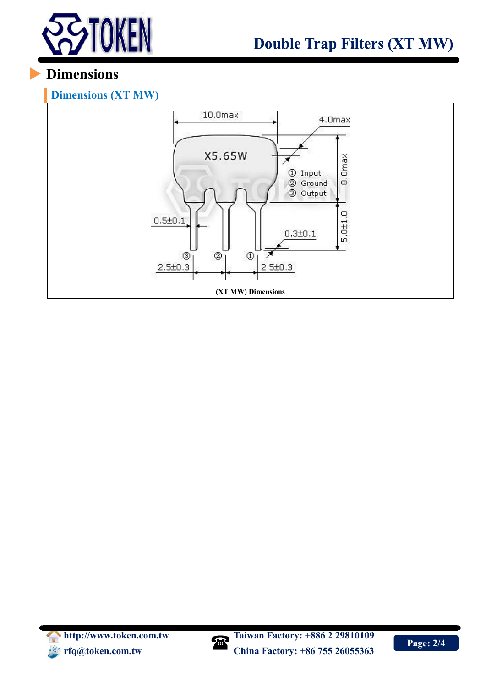

# **Dimensions**

### **Dimensions (XT MW)**



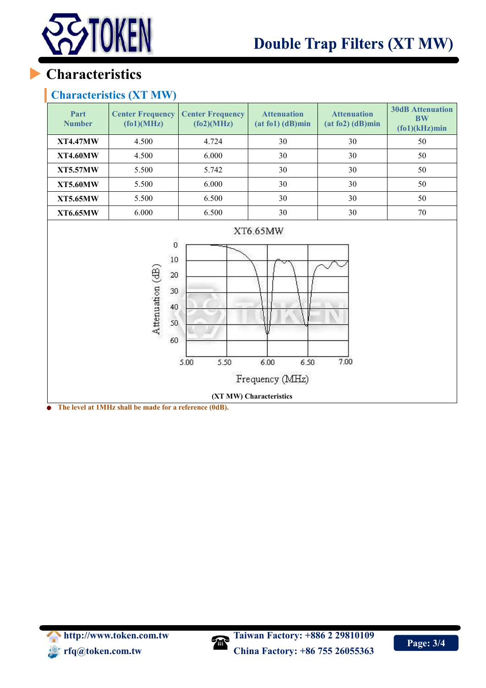

# **Characteristics**

#### **Characteristics (XT MW)**

| Part<br><b>Number</b>                                                                                                                                                                                                       | <b>Center Frequency</b><br>(fo1)(MHz) | <b>Center Frequency</b><br>f(62)(MHz) | <b>Attenuation</b><br>$(at f01)$ $(dB)min$ | <b>Attenuation</b><br>$(at f02)$ (dB)min | <b>30dB</b> Attenuation<br><b>BW</b><br>$(fo1)(kHz)$ min |  |
|-----------------------------------------------------------------------------------------------------------------------------------------------------------------------------------------------------------------------------|---------------------------------------|---------------------------------------|--------------------------------------------|------------------------------------------|----------------------------------------------------------|--|
| <b>XT4.47MW</b>                                                                                                                                                                                                             | 4.500                                 | 4.724                                 | 30                                         | 30                                       | 50                                                       |  |
| <b>XT4.60MW</b>                                                                                                                                                                                                             | 4.500                                 | 6.000                                 | 30                                         | 30                                       | 50                                                       |  |
| <b>XT5.57MW</b>                                                                                                                                                                                                             | 5.500                                 | 5.742                                 | 30                                         | 30                                       | 50                                                       |  |
| <b>XT5.60MW</b>                                                                                                                                                                                                             | 5.500                                 | 6.000                                 | 30                                         | 30                                       | 50                                                       |  |
| <b>XT5.65MW</b>                                                                                                                                                                                                             | 5.500                                 | 6.500                                 | 30                                         | 30                                       | 50                                                       |  |
| <b>XT6.65MW</b>                                                                                                                                                                                                             | 6.000                                 | 6.500                                 | 30                                         | 30                                       | $70\,$                                                   |  |
| XT6.65MW<br>ö<br>10<br>Attenuation (dB)<br>20<br>30<br>40<br>50<br>60<br>7.00<br>5.50<br>5.00<br>6.00<br>6.50<br>Frequency (MHz)<br>(XT MW) Characteristics<br>The level of 1MIIn shall be made for a <i>nofemana</i> (0dD) |                                       |                                       |                                            |                                          |                                                          |  |

**The level at 1MHz shall be made for a reference (0dB).**